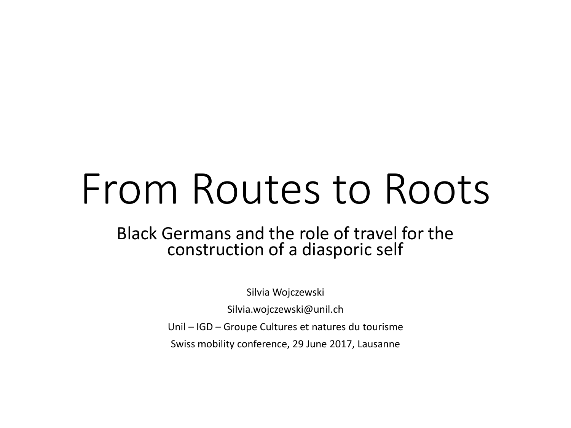# From Routes to Roots

#### Black Germans and the role of travel for the construction of a diasporic self

Silvia Wojczewski

Silvia.wojczewski@unil.ch

Unil – IGD – Groupe Cultures et natures du tourisme

Swiss mobility conference, 29 June 2017, Lausanne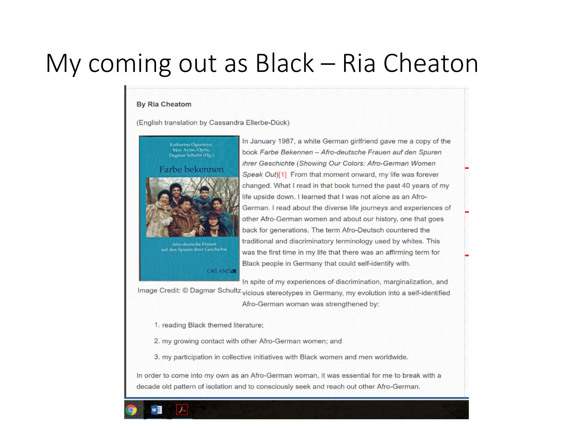#### My coming out as  $Black - Ri$  Cheaton

#### **By Ria Cheatom**

(English translation by Cassandra Ellerbe-Dück)



**ORLANDA** 

In January 1987, a white German girlfriend gave me a copy of the book Farbe Bekennen - Afro-deutsche Frauen auf den Spuren ihrer Geschichte (Showing Our Colors: Afro-German Women Speak Out)[1] From that moment onward, my life was forever changed. What I read in that book turned the past 40 years of my life upside down. I learned that I was not alone as an Afro-German. I read about the diverse life journeys and experiences of other Afro-German women and about our history, one that goes back for generations. The term Afro-Deutsch countered the traditional and discriminatory terminology used by whites. This was the first time in my life that there was an affirming term for Black people in Germany that could self-identify with.

In spite of my experiences of discrimination, marginalization, and

Image Credit: © Dagmar Schultz vicious stereotypes in Germany, my evolution into a self-identified Afro-German woman was strengthened by:

1. reading Black themed literature;

2. my growing contact with other Afro-German women; and

3. my participation in collective initiatives with Black women and men worldwide.

In order to come into my own as an Afro-German woman, it was essential for me to break with a decade old pattern of isolation and to consciously seek and reach out other Afro-German.

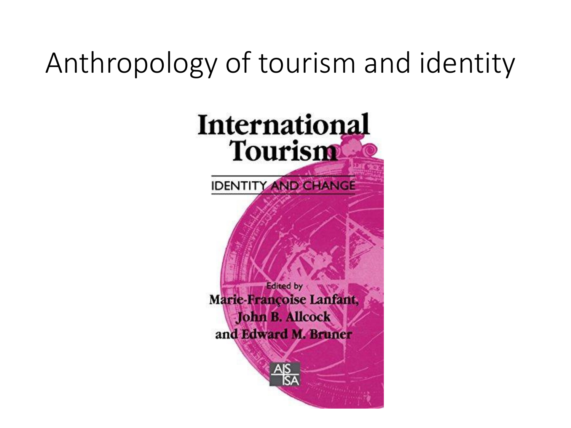#### Anthropology of tourism and identity

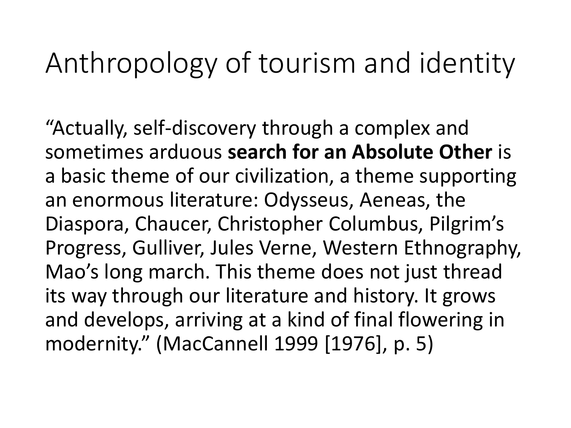#### Anthropology of tourism and identity

"Actually, self-discovery through a complex and sometimes arduous **search for an Absolute Other** is a basic theme of our civilization, a theme supporting an enormous literature: Odysseus, Aeneas, the Diaspora, Chaucer, Christopher Columbus, Pilgrim's Progress, Gulliver, Jules Verne, Western Ethnography, Mao's long march. This theme does not just thread its way through our literature and history. It grows and develops, arriving at a kind of final flowering in modernity." (MacCannell 1999 [1976], p. 5)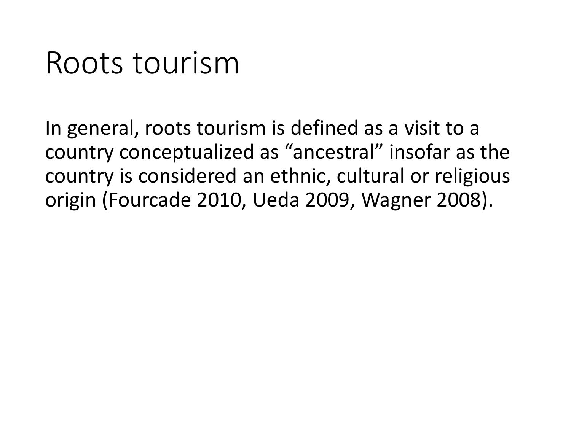#### Roots tourism

In general, roots tourism is defined as a visit to a country conceptualized as "ancestral" insofar as the country is considered an ethnic, cultural or religious origin (Fourcade 2010, Ueda 2009, Wagner 2008).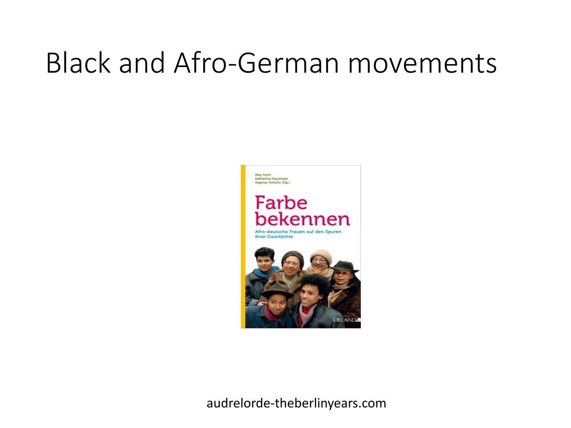#### Black and Afro-German movements



audrelorde-theberlinyears.com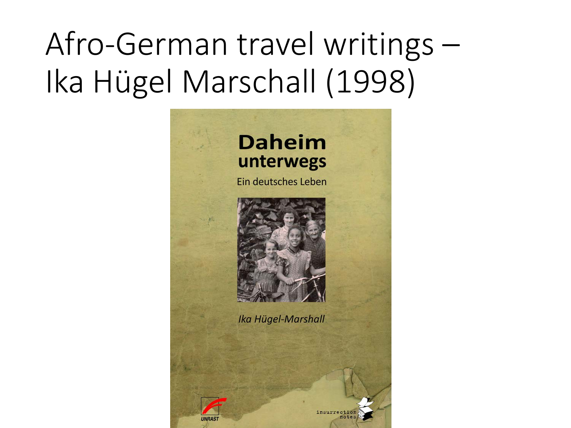## Afro-German travel writings – Ika Hügel Marschall (1998)

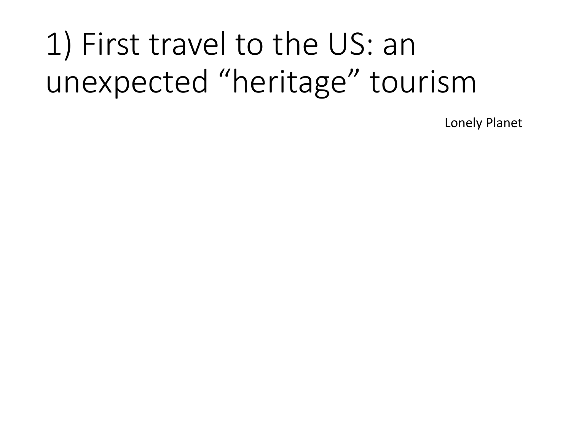## 1) First travel to the US: an unexpected "heritage" tourism

Lonely Planet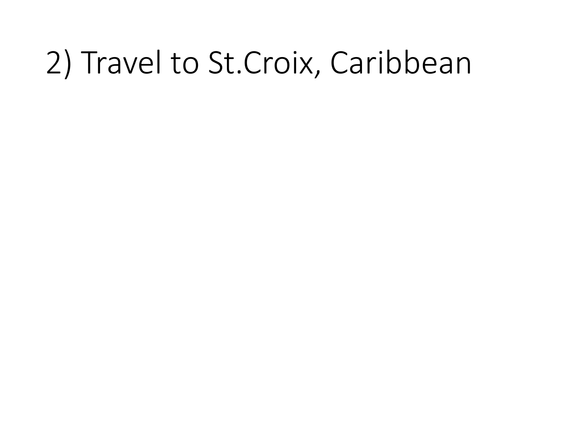## 2) Travel to St.Croix, Caribbean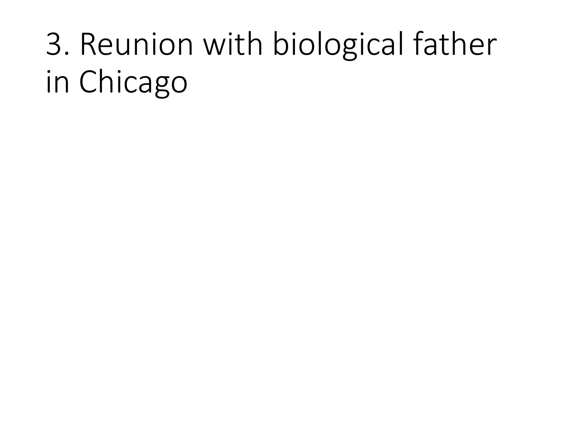## 3. Reunion with biological father in Chicago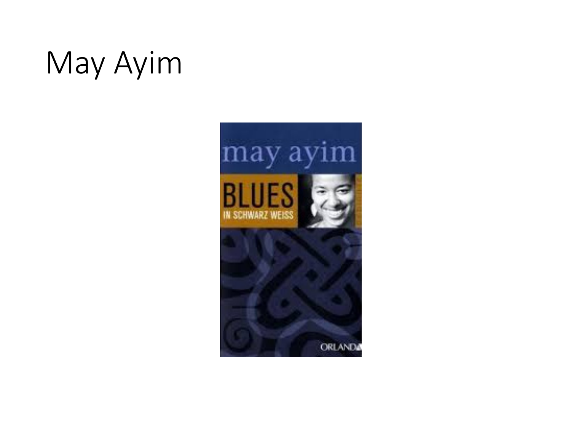## May Ayim

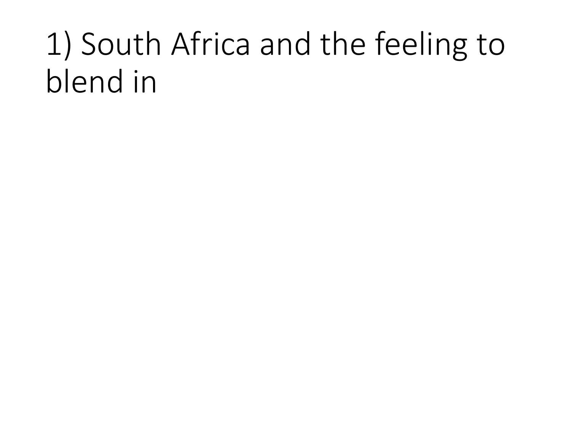## 1) South Africa and the feeling to blend in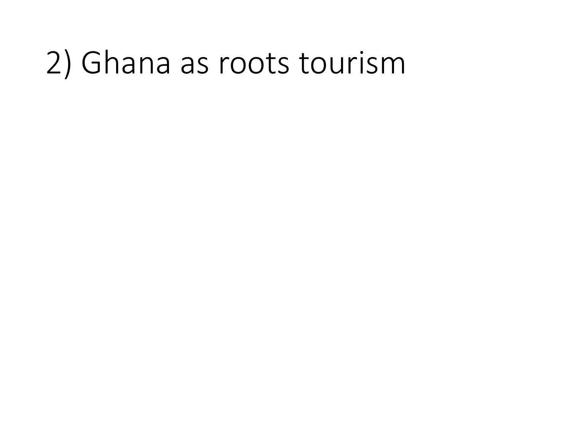#### 2) Ghana as roots tourism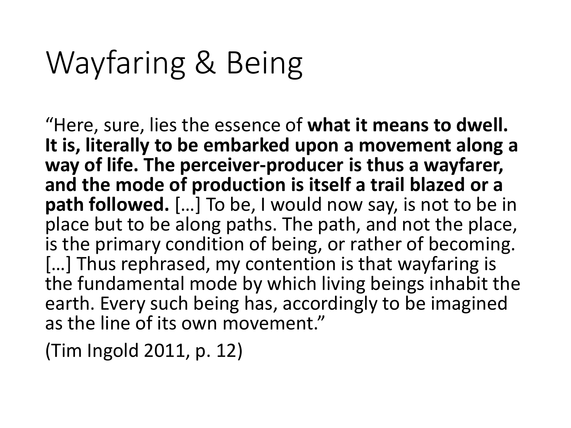### Wayfaring & Being

"Here, sure, lies the essence of **what it means to dwell. It is, literally to be embarked upon a movement along a way of life. The perceiver-producer is thus a wayfarer, and the mode of production is itself a trail blazed or a path followed.** […] To be, I would now say, is not to be in place but to be along paths. The path, and not the place, is the primary condition of being, or rather of becoming. [...] Thus rephrased, my contention is that wayfaring is the fundamental mode by which living beings inhabit the earth. Every such being has, accordingly to be imagined as the line of its own movement."

(Tim Ingold 2011, p. 12)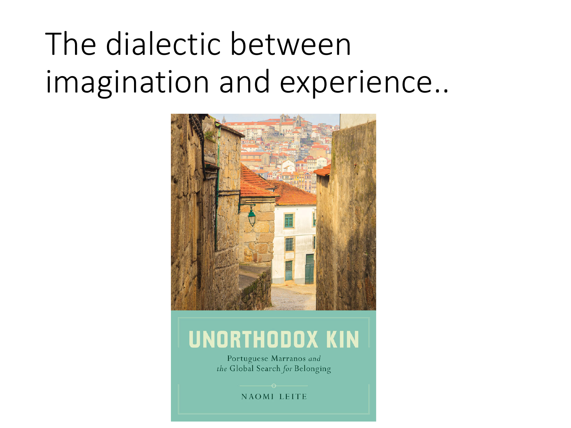## The dialectic between imagination and experience..



#### **UNORTHODOX KIN**

Portuguese Marranos and the Global Search for Belonging

NAOMI LEITE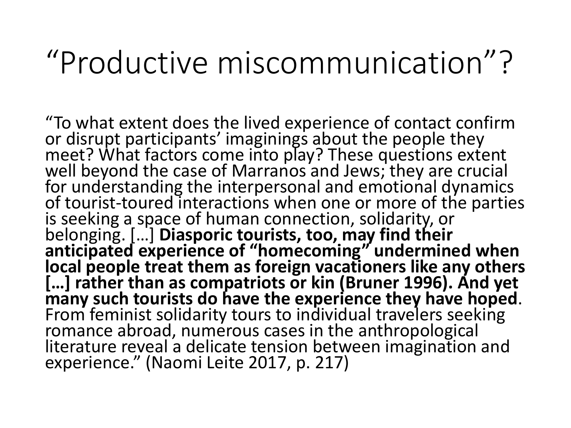#### "Productive miscommunication"?

"To what extent does the lived experience of contact confirm<br>or disrupt participants' imaginings about the people they meet? What factors come into play? These questions extent well beyond the case of Marranos and Jews; they are crucial for understanding the interpersonal and emotional dynamics of tourist-toured interactions when one or more of the parties<br>is seeking a space of human connection, solidarity, or belonging. […] **Diasporic tourists, too, may find their anticipated experience of "homecoming" undermined when local people treat them as foreign vacationers like any others […] rather than as compatriots or kin (Bruner 1996). And yet many such tourists do have the experience they have hoped.**<br>From feminist solidarity tours to individual travelers seeking romance abroad, numerous cases in the anthropological literature reveal a delicate tension between imagination and experience." (Naomi Leite 2017, p. 217)